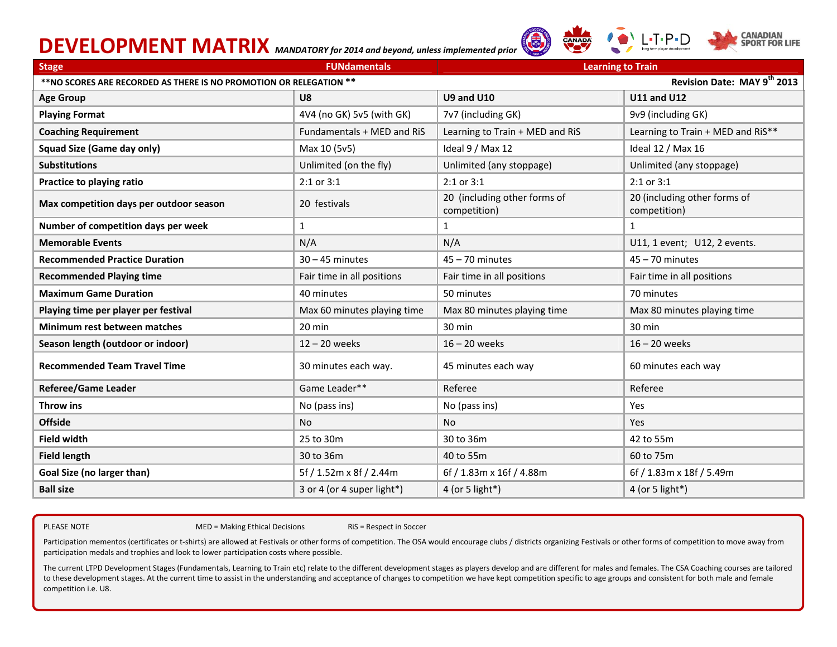# **DEVELOPMENT MATRIX** *MANDATORY for 2014 and beyond, unless implemented prior*





| <b>Stage</b>                                                                                       | <b>FUNdamentals</b>         | <b>Learning to Train</b>                     |                                              |  |
|----------------------------------------------------------------------------------------------------|-----------------------------|----------------------------------------------|----------------------------------------------|--|
| Revision Date: MAY 9th 2013<br>** NO SCORES ARE RECORDED AS THERE IS NO PROMOTION OR RELEGATION ** |                             |                                              |                                              |  |
| <b>Age Group</b>                                                                                   | U8                          | <b>U9 and U10</b>                            | <b>U11 and U12</b>                           |  |
| <b>Playing Format</b>                                                                              | 4V4 (no GK) 5v5 (with GK)   | 7v7 (including GK)                           | 9v9 (including GK)                           |  |
| <b>Coaching Requirement</b>                                                                        | Fundamentals + MED and RiS  | Learning to Train + MED and RiS              | Learning to Train + MED and RiS**            |  |
| <b>Squad Size (Game day only)</b>                                                                  | Max 10 (5v5)                | Ideal 9 / Max 12                             | Ideal 12 / Max 16                            |  |
| <b>Substitutions</b>                                                                               | Unlimited (on the fly)      | Unlimited (any stoppage)                     | Unlimited (any stoppage)                     |  |
| Practice to playing ratio                                                                          | 2:1 or 3:1                  | 2:1 or 3:1                                   | $2:1$ or $3:1$                               |  |
| Max competition days per outdoor season                                                            | 20 festivals                | 20 (including other forms of<br>competition) | 20 (including other forms of<br>competition) |  |
| Number of competition days per week                                                                | $\mathbf{1}$                | $\mathbf{1}$                                 | $\mathbf{1}$                                 |  |
| <b>Memorable Events</b>                                                                            | N/A                         | N/A                                          | U11, 1 event; U12, 2 events.                 |  |
| <b>Recommended Practice Duration</b>                                                               | $30 - 45$ minutes           | $45 - 70$ minutes                            | $45 - 70$ minutes                            |  |
| <b>Recommended Playing time</b>                                                                    | Fair time in all positions  | Fair time in all positions                   | Fair time in all positions                   |  |
| <b>Maximum Game Duration</b>                                                                       | 40 minutes                  | 50 minutes                                   | 70 minutes                                   |  |
| Playing time per player per festival                                                               | Max 60 minutes playing time | Max 80 minutes playing time                  | Max 80 minutes playing time                  |  |
| Minimum rest between matches                                                                       | 20 min                      | 30 min                                       | 30 min                                       |  |
| Season length (outdoor or indoor)                                                                  | $12 - 20$ weeks             | $16 - 20$ weeks                              | $16 - 20$ weeks                              |  |
| <b>Recommended Team Travel Time</b>                                                                | 30 minutes each way.        | 45 minutes each way                          | 60 minutes each way                          |  |
| <b>Referee/Game Leader</b>                                                                         | Game Leader**               | Referee                                      | Referee                                      |  |
| Throw ins                                                                                          | No (pass ins)               | No (pass ins)                                | Yes                                          |  |
| <b>Offside</b>                                                                                     | <b>No</b>                   | <b>No</b>                                    | Yes                                          |  |
| <b>Field width</b>                                                                                 | 25 to 30m                   | 30 to 36m                                    | 42 to 55m                                    |  |
| <b>Field length</b>                                                                                | 30 to 36m                   | 40 to 55m                                    | 60 to 75m                                    |  |
| Goal Size (no larger than)                                                                         | 5f / 1.52m x 8f / 2.44m     | 6f / 1.83m x 16f / 4.88m                     | 6f / 1.83m x 18f / 5.49m                     |  |
| <b>Ball size</b>                                                                                   | 3 or 4 (or 4 super light*)  | 4 (or 5 light*)                              | 4 (or 5 light*)                              |  |

PLEASE NOTE And the method of the method of the method of the method of the method of the method of the method

MED = Making Ethical Decisions RiS = Respect in Soccer

Participation mementos (certificates or t-shirts) are allowed at Festivals or other forms of competition. The OSA would encourage clubs / districts organizing Festivals or other forms of competition to move away from participation medals and trophies and look to lower participation costs where possible.

The current LTPD Development Stages (Fundamentals, Learning to Train etc) relate to the different development stages as players develop and are different for males and females. The CSA Coaching courses are tailored to these development stages. At the current time to assist in the understanding and acceptance of changes to competition we have kept competition specific to age groups and consistent for both male and female competition i.e. U8.